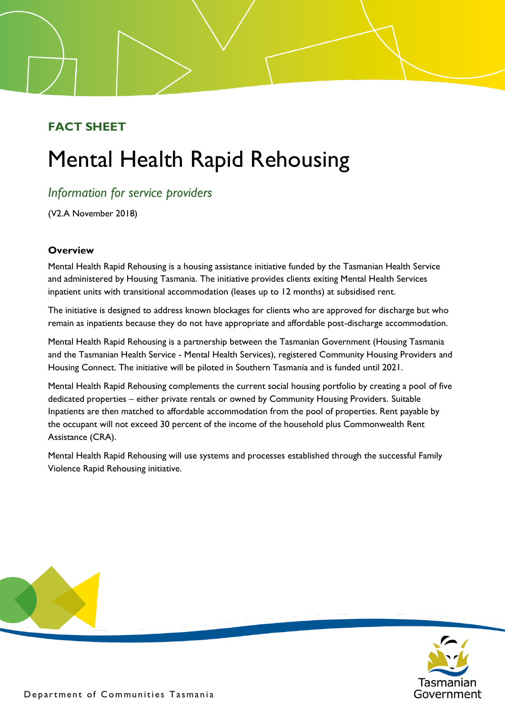# **FACT SHEET**

# Mental Health Rapid Rehousing

# *Information for service providers*

(V2.A November 2018)

## **Overview**

Mental Health Rapid Rehousing is a housing assistance initiative funded by the Tasmanian Health Service and administered by Housing Tasmania. The initiative provides clients exiting Mental Health Services inpatient units with transitional accommodation (leases up to 12 months) at subsidised rent.

The initiative is designed to address known blockages for clients who are approved for discharge but who remain as inpatients because they do not have appropriate and affordable post-discharge accommodation.

Mental Health Rapid Rehousing is a partnership between the Tasmanian Government (Housing Tasmania and the Tasmanian Health Service - Mental Health Services), registered Community Housing Providers and Housing Connect. The initiative will be piloted in Southern Tasmania and is funded until 2021.

Mental Health Rapid Rehousing complements the current social housing portfolio by creating a pool of five dedicated properties – either private rentals or owned by Community Housing Providers. Suitable Inpatients are then matched to affordable accommodation from the pool of properties. Rent payable by the occupant will not exceed 30 percent of the income of the household plus Commonwealth Rent Assistance (CRA).

Mental Health Rapid Rehousing will use systems and processes established through the successful Family Violence Rapid Rehousing initiative.



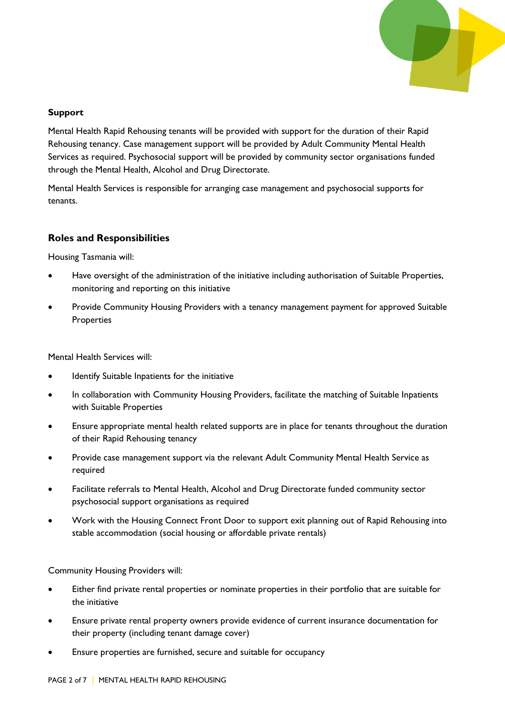

#### **Support**

Mental Health Rapid Rehousing tenants will be provided with support for the duration of their Rapid Rehousing tenancy. Case management support will be provided by Adult Community Mental Health Services as required. Psychosocial support will be provided by community sector organisations funded through the Mental Health, Alcohol and Drug Directorate.

Mental Health Services is responsible for arranging case management and psychosocial supports for tenants.

#### **Roles and Responsibilities**

Housing Tasmania will:

- Have oversight of the administration of the initiative including authorisation of Suitable Properties, monitoring and reporting on this initiative
- Provide Community Housing Providers with a tenancy management payment for approved Suitable **Properties**

Mental Health Services will:

- Identify Suitable Inpatients for the initiative
- In collaboration with Community Housing Providers, facilitate the matching of Suitable Inpatients with Suitable Properties
- Ensure appropriate mental health related supports are in place for tenants throughout the duration of their Rapid Rehousing tenancy
- Provide case management support via the relevant Adult Community Mental Health Service as required
- Facilitate referrals to Mental Health, Alcohol and Drug Directorate funded community sector psychosocial support organisations as required
- Work with the Housing Connect Front Door to support exit planning out of Rapid Rehousing into stable accommodation (social housing or affordable private rentals)

Community Housing Providers will:

- Either find private rental properties or nominate properties in their portfolio that are suitable for the initiative
- Ensure private rental property owners provide evidence of current insurance documentation for their property (including tenant damage cover)
- Ensure properties are furnished, secure and suitable for occupancy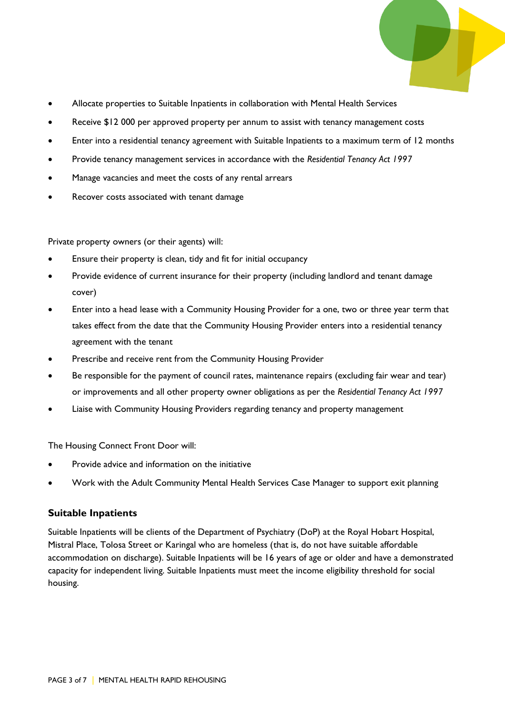

- Allocate properties to Suitable Inpatients in collaboration with Mental Health Services
- Receive \$12 000 per approved property per annum to assist with tenancy management costs
- Enter into a residential tenancy agreement with Suitable Inpatients to a maximum term of 12 months
- Provide tenancy management services in accordance with the *Residential Tenancy Act 1997*
- Manage vacancies and meet the costs of any rental arrears
- Recover costs associated with tenant damage

Private property owners (or their agents) will:

- Ensure their property is clean, tidy and fit for initial occupancy
- Provide evidence of current insurance for their property (including landlord and tenant damage cover)
- Enter into a head lease with a Community Housing Provider for a one, two or three year term that takes effect from the date that the Community Housing Provider enters into a residential tenancy agreement with the tenant
- Prescribe and receive rent from the Community Housing Provider
- Be responsible for the payment of council rates, maintenance repairs (excluding fair wear and tear) or improvements and all other property owner obligations as per the *Residential Tenancy Act 1997*
- Liaise with Community Housing Providers regarding tenancy and property management

The Housing Connect Front Door will:

- Provide advice and information on the initiative
- Work with the Adult Community Mental Health Services Case Manager to support exit planning

#### **Suitable Inpatients**

Suitable Inpatients will be clients of the Department of Psychiatry (DoP) at the Royal Hobart Hospital, Mistral Place, Tolosa Street or Karingal who are homeless (that is, do not have suitable affordable accommodation on discharge). Suitable Inpatients will be 16 years of age or older and have a demonstrated capacity for independent living. Suitable Inpatients must meet the income eligibility threshold for social housing.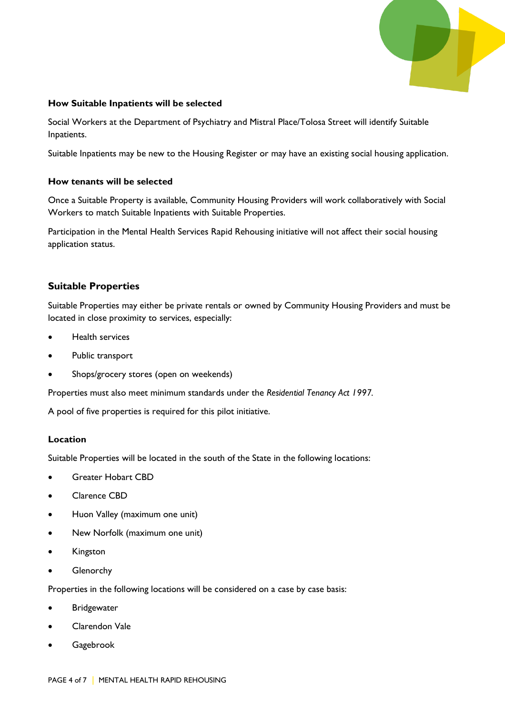

#### **How Suitable Inpatients will be selected**

Social Workers at the Department of Psychiatry and Mistral Place/Tolosa Street will identify Suitable Inpatients.

Suitable Inpatients may be new to the Housing Register or may have an existing social housing application.

#### **How tenants will be selected**

Once a Suitable Property is available, Community Housing Providers will work collaboratively with Social Workers to match Suitable Inpatients with Suitable Properties.

Participation in the Mental Health Services Rapid Rehousing initiative will not affect their social housing application status.

#### **Suitable Properties**

Suitable Properties may either be private rentals or owned by Community Housing Providers and must be located in close proximity to services, especially:

- Health services
- Public transport
- Shops/grocery stores (open on weekends)

Properties must also meet minimum standards under the *Residential Tenancy Act 1997.* 

A pool of five properties is required for this pilot initiative.

#### **Location**

Suitable Properties will be located in the south of the State in the following locations:

- Greater Hobart CBD
- Clarence CBD
- Huon Valley (maximum one unit)
- New Norfolk (maximum one unit)
- Kingston
- Glenorchy

Properties in the following locations will be considered on a case by case basis:

- **Bridgewater**
- Clarendon Vale
- Gagebrook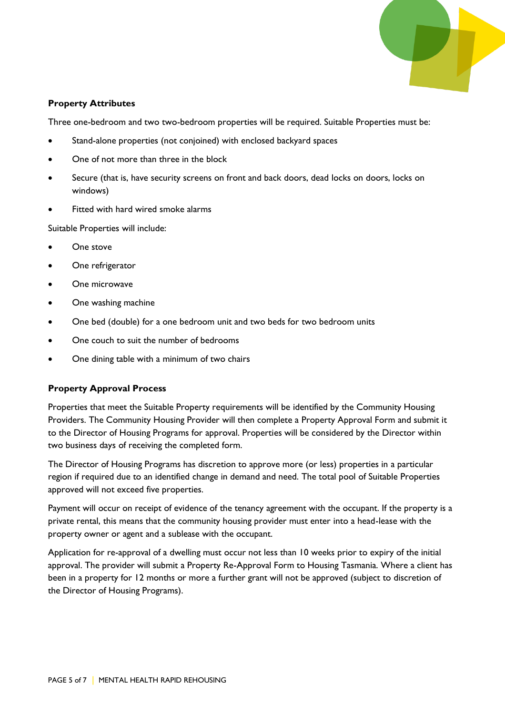

#### **Property Attributes**

Three one-bedroom and two two-bedroom properties will be required. Suitable Properties must be:

- Stand-alone properties (not conjoined) with enclosed backyard spaces
- One of not more than three in the block
- Secure (that is, have security screens on front and back doors, dead locks on doors, locks on windows)
- Fitted with hard wired smoke alarms

Suitable Properties will include:

- One stove
- One refrigerator
- One microwave
- One washing machine
- One bed (double) for a one bedroom unit and two beds for two bedroom units
- One couch to suit the number of bedrooms
- One dining table with a minimum of two chairs

#### **Property Approval Process**

Properties that meet the Suitable Property requirements will be identified by the Community Housing Providers. The Community Housing Provider will then complete a Property Approval Form and submit it to the Director of Housing Programs for approval. Properties will be considered by the Director within two business days of receiving the completed form.

The Director of Housing Programs has discretion to approve more (or less) properties in a particular region if required due to an identified change in demand and need. The total pool of Suitable Properties approved will not exceed five properties.

Payment will occur on receipt of evidence of the tenancy agreement with the occupant. If the property is a private rental, this means that the community housing provider must enter into a head-lease with the property owner or agent and a sublease with the occupant.

Application for re-approval of a dwelling must occur not less than 10 weeks prior to expiry of the initial approval. The provider will submit a Property Re-Approval Form to Housing Tasmania. Where a client has been in a property for 12 months or more a further grant will not be approved (subject to discretion of the Director of Housing Programs).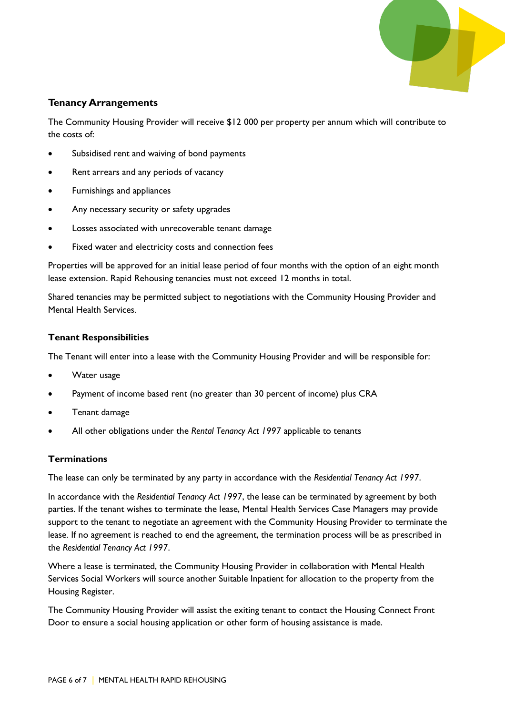

#### **Tenancy Arrangements**

The Community Housing Provider will receive \$12 000 per property per annum which will contribute to the costs of:

- Subsidised rent and waiving of bond payments
- Rent arrears and any periods of vacancy
- Furnishings and appliances
- Any necessary security or safety upgrades
- Losses associated with unrecoverable tenant damage
- Fixed water and electricity costs and connection fees

Properties will be approved for an initial lease period of four months with the option of an eight month lease extension. Rapid Rehousing tenancies must not exceed 12 months in total.

Shared tenancies may be permitted subject to negotiations with the Community Housing Provider and Mental Health Services.

#### **Tenant Responsibilities**

The Tenant will enter into a lease with the Community Housing Provider and will be responsible for:

- Water usage
- Payment of income based rent (no greater than 30 percent of income) plus CRA
- Tenant damage
- All other obligations under the *Rental Tenancy Act 1997* applicable to tenants

#### **Terminations**

The lease can only be terminated by any party in accordance with the *Residential Tenancy Act 1997*.

In accordance with the *Residential Tenancy Act 1997*, the lease can be terminated by agreement by both parties. If the tenant wishes to terminate the lease, Mental Health Services Case Managers may provide support to the tenant to negotiate an agreement with the Community Housing Provider to terminate the lease. If no agreement is reached to end the agreement, the termination process will be as prescribed in the *Residential Tenancy Act 1997*.

Where a lease is terminated, the Community Housing Provider in collaboration with Mental Health Services Social Workers will source another Suitable Inpatient for allocation to the property from the Housing Register.

The Community Housing Provider will assist the exiting tenant to contact the Housing Connect Front Door to ensure a social housing application or other form of housing assistance is made.